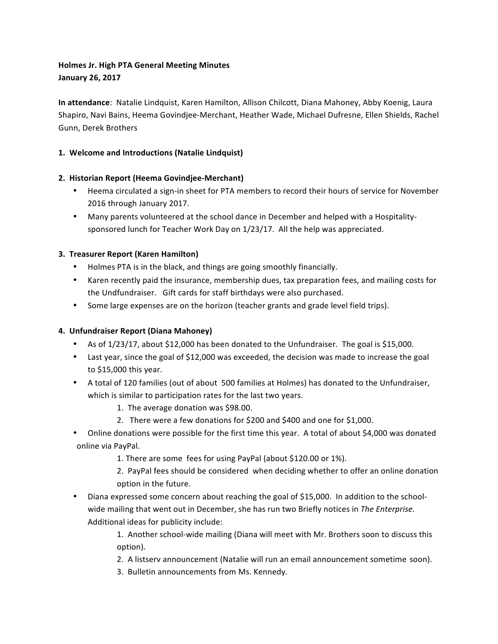# **Holmes Jr. High PTA General Meeting Minutes January 26, 2017**

**In attendance**: Natalie Lindquist, Karen Hamilton, Allison Chilcott, Diana Mahoney, Abby Koenig, Laura Shapiro, Navi Bains, Heema Govindjee-Merchant, Heather Wade, Michael Dufresne, Ellen Shields, Rachel Gunn, Derek Brothers

## 1. Welcome and Introductions (Natalie Lindquist)

## **2. Historian Report (Heema Govindjee-Merchant)**

- Heema circulated a sign-in sheet for PTA members to record their hours of service for November 2016 through January 2017.
- Many parents volunteered at the school dance in December and helped with a Hospitalitysponsored lunch for Teacher Work Day on 1/23/17. All the help was appreciated.

## **3. Treasurer Report (Karen Hamilton)**

- Holmes PTA is in the black, and things are going smoothly financially.
- Karen recently paid the insurance, membership dues, tax preparation fees, and mailing costs for the Undfundraiser. Gift cards for staff birthdays were also purchased.
- Some large expenses are on the horizon (teacher grants and grade level field trips).

# **4. Unfundraiser Report (Diana Mahoney)**

- As of 1/23/17, about \$12,000 has been donated to the Unfundraiser. The goal is \$15,000.
- Last year, since the goal of \$12,000 was exceeded, the decision was made to increase the goal to  $$15,000$  this year.
- A total of 120 families (out of about 500 families at Holmes) has donated to the Unfundraiser, which is similar to participation rates for the last two years.
	- 1. The average donation was \$98.00.
	- 2. There were a few donations for \$200 and \$400 and one for \$1,000.
- Online donations were possible for the first time this year. A total of about \$4,000 was donated online via PayPal.
	- 1. There are some fees for using PayPal (about \$120.00 or 1%).
	- 2. PayPal fees should be considered when deciding whether to offer an online donation option in the future.
- Diana expressed some concern about reaching the goal of \$15,000. In addition to the schoolwide mailing that went out in December, she has run two Briefly notices in The Enterprise. Additional ideas for publicity include:
	- 1. Another school-wide mailing (Diana will meet with Mr. Brothers soon to discuss this option).
	- 2. A listserv announcement (Natalie will run an email announcement sometime soon).
	- 3. Bulletin announcements from Ms. Kennedy.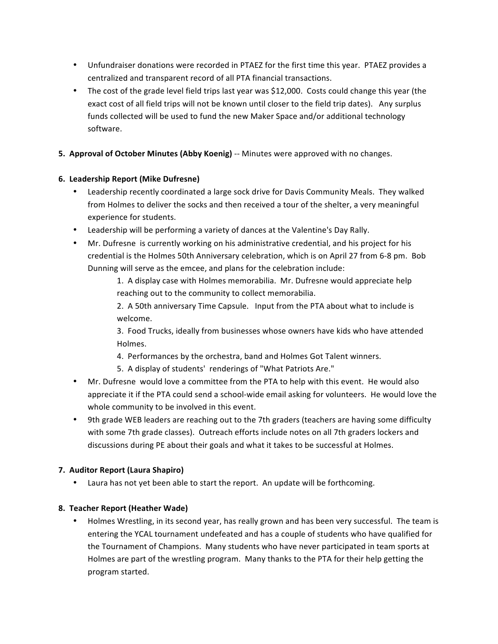- Unfundraiser donations were recorded in PTAEZ for the first time this year. PTAEZ provides a centralized and transparent record of all PTA financial transactions.
- The cost of the grade level field trips last year was \$12,000. Costs could change this year (the exact cost of all field trips will not be known until closer to the field trip dates). Any surplus funds collected will be used to fund the new Maker Space and/or additional technology software.
- **5. Approval of October Minutes (Abby Koenig)** -- Minutes were approved with no changes.

## **6. Leadership Report (Mike Dufresne)**

- Leadership recently coordinated a large sock drive for Davis Community Meals. They walked from Holmes to deliver the socks and then received a tour of the shelter, a very meaningful experience for students.
- Leadership will be performing a variety of dances at the Valentine's Day Rally.
- Mr. Dufresne is currently working on his administrative credential, and his project for his credential is the Holmes 50th Anniversary celebration, which is on April 27 from 6-8 pm. Bob Dunning will serve as the emcee, and plans for the celebration include:

1. A display case with Holmes memorabilia. Mr. Dufresne would appreciate help reaching out to the community to collect memorabilia.

2. A 50th anniversary Time Capsule. Input from the PTA about what to include is welcome.

3. Food Trucks, ideally from businesses whose owners have kids who have attended Holmes.

- 4. Performances by the orchestra, band and Holmes Got Talent winners.
- 5. A display of students' renderings of "What Patriots Are."
- Mr. Dufresne would love a committee from the PTA to help with this event. He would also appreciate it if the PTA could send a school-wide email asking for volunteers. He would love the whole community to be involved in this event.
- 9th grade WEB leaders are reaching out to the 7th graders (teachers are having some difficulty with some 7th grade classes). Outreach efforts include notes on all 7th graders lockers and discussions during PE about their goals and what it takes to be successful at Holmes.

#### **7. Auditor Report (Laura Shapiro)**

Laura has not yet been able to start the report. An update will be forthcoming.

#### **8. Teacher Report (Heather Wade)**

• Holmes Wrestling, in its second year, has really grown and has been very successful. The team is entering the YCAL tournament undefeated and has a couple of students who have qualified for the Tournament of Champions. Many students who have never participated in team sports at Holmes are part of the wrestling program. Many thanks to the PTA for their help getting the program started.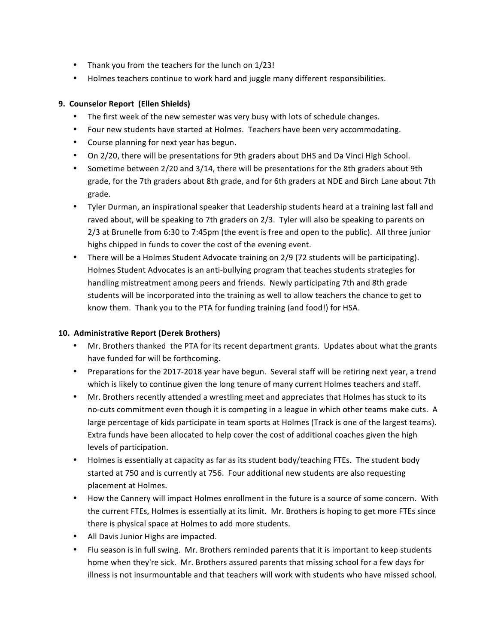- Thank you from the teachers for the lunch on 1/23!
- Holmes teachers continue to work hard and juggle many different responsibilities.

## **9. Counselor Report (Ellen Shields)**

- The first week of the new semester was very busy with lots of schedule changes.
- Four new students have started at Holmes. Teachers have been very accommodating.
- Course planning for next year has begun.
- On 2/20, there will be presentations for 9th graders about DHS and Da Vinci High School.
- Sometime between 2/20 and 3/14, there will be presentations for the 8th graders about 9th grade, for the 7th graders about 8th grade, and for 6th graders at NDE and Birch Lane about 7th grade.
- Tyler Durman, an inspirational speaker that Leadership students heard at a training last fall and raved about, will be speaking to 7th graders on 2/3. Tyler will also be speaking to parents on 2/3 at Brunelle from 6:30 to 7:45pm (the event is free and open to the public). All three junior highs chipped in funds to cover the cost of the evening event.
- There will be a Holmes Student Advocate training on 2/9 (72 students will be participating). Holmes Student Advocates is an anti-bullying program that teaches students strategies for handling mistreatment among peers and friends. Newly participating 7th and 8th grade students will be incorporated into the training as well to allow teachers the chance to get to know them. Thank you to the PTA for funding training (and food!) for HSA.

## 10. Administrative Report (Derek Brothers)

- Mr. Brothers thanked the PTA for its recent department grants. Updates about what the grants have funded for will be forthcoming.
- Preparations for the 2017-2018 year have begun. Several staff will be retiring next year, a trend which is likely to continue given the long tenure of many current Holmes teachers and staff.
- Mr. Brothers recently attended a wrestling meet and appreciates that Holmes has stuck to its no-cuts commitment even though it is competing in a league in which other teams make cuts. A large percentage of kids participate in team sports at Holmes (Track is one of the largest teams). Extra funds have been allocated to help cover the cost of additional coaches given the high levels of participation.
- Holmes is essentially at capacity as far as its student body/teaching FTEs. The student body started at 750 and is currently at 756. Four additional new students are also requesting placement at Holmes.
- How the Cannery will impact Holmes enrollment in the future is a source of some concern. With the current FTEs, Holmes is essentially at its limit. Mr. Brothers is hoping to get more FTEs since there is physical space at Holmes to add more students.
- All Davis Junior Highs are impacted.
- Flu season is in full swing. Mr. Brothers reminded parents that it is important to keep students home when they're sick. Mr. Brothers assured parents that missing school for a few days for illness is not insurmountable and that teachers will work with students who have missed school.